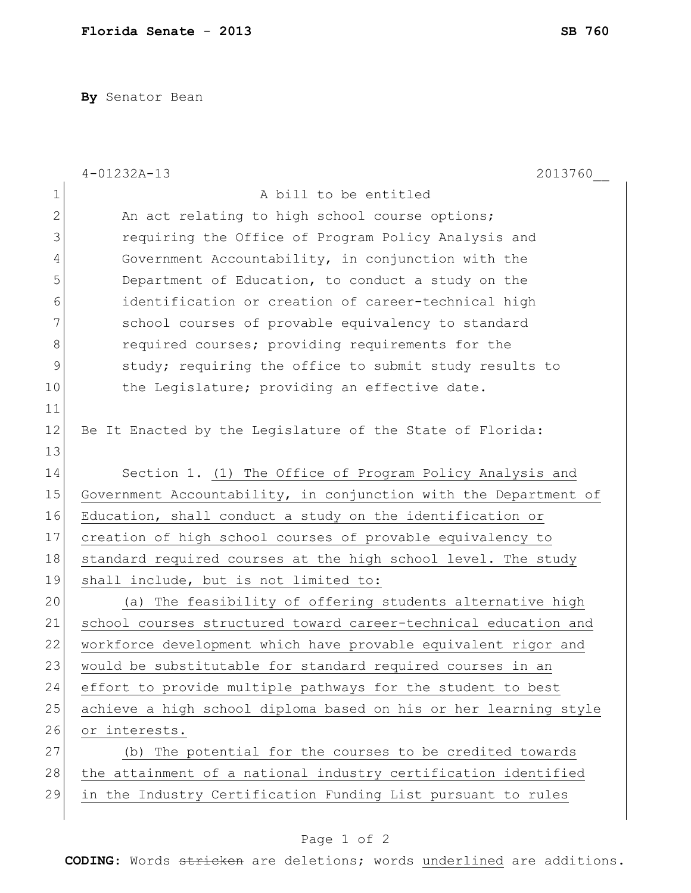**By** Senator Bean

|              | $4 - 01232A - 13$<br>2013760                                     |
|--------------|------------------------------------------------------------------|
| $\mathbf 1$  | A bill to be entitled                                            |
| $\mathbf{2}$ | An act relating to high school course options;                   |
| 3            | requiring the Office of Program Policy Analysis and              |
| 4            | Government Accountability, in conjunction with the               |
| 5            | Department of Education, to conduct a study on the               |
| 6            | identification or creation of career-technical high              |
| 7            | school courses of provable equivalency to standard               |
| 8            | required courses; providing requirements for the                 |
| 9            | study; requiring the office to submit study results to           |
| 10           | the Legislature; providing an effective date.                    |
| 11           |                                                                  |
| 12           | Be It Enacted by the Legislature of the State of Florida:        |
| 13           |                                                                  |
| 14           | Section 1. (1) The Office of Program Policy Analysis and         |
| 15           | Government Accountability, in conjunction with the Department of |
| 16           | Education, shall conduct a study on the identification or        |
| 17           | creation of high school courses of provable equivalency to       |
| 18           | standard required courses at the high school level. The study    |
| 19           | shall include, but is not limited to:                            |
| 20           | (a) The feasibility of offering students alternative high        |
| 21           | school courses structured toward career-technical education and  |
| 22           | workforce development which have provable equivalent rigor and   |
| 23           | would be substitutable for standard required courses in an       |
| 24           | effort to provide multiple pathways for the student to best      |
| 25           | achieve a high school diploma based on his or her learning style |
| 26           | or interests.                                                    |
| 27           | (b) The potential for the courses to be credited towards         |
| 28           | the attainment of a national industry certification identified   |
| 29           | in the Industry Certification Funding List pursuant to rules     |
|              |                                                                  |

## Page 1 of 2

**CODING**: Words stricken are deletions; words underlined are additions.